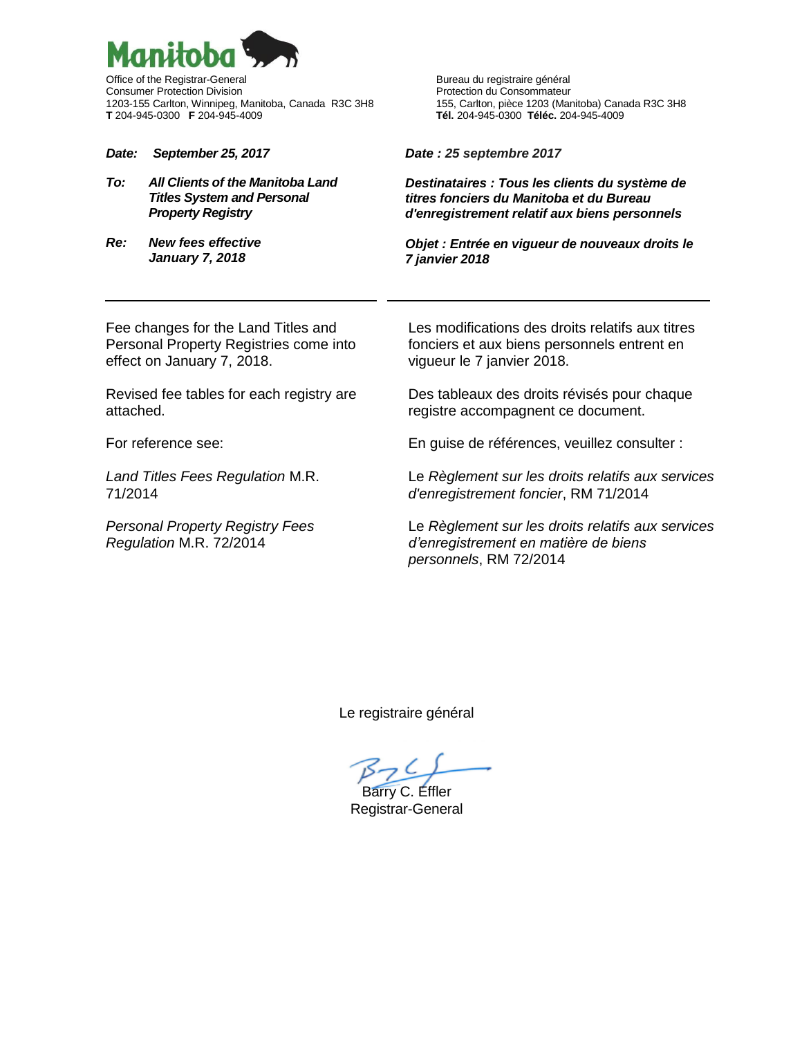

Office of the Registrar-General **Bureau du registrative général** Bureau du registraire général Consumer Protection Division<br>1203-155 Carlton, Winnipeg, Manitoba, Canada R3C 3H8 155, Carlton, pièce 1203 (Manitoba) Canada R3C 3H8 1203-155 Carlton, Winnipeg, Manitoba, Canada R3C 3H8<br>T 204-945-0300 F 204-945-4009

*Date: September 25, 2017*

- *To: All Clients of the Manitoba Land Titles System and Personal Property Registry*
- *Re: New fees effective January 7, 2018*

**T** 204-945-0300 **F** 204-945-4009 **Tél.** 204-945-0300 **Téléc.** 204-945-4009

*Date : 25 septembre 2017*

*Destinataires : Tous les clients du système de titres fonciers du Manitoba et du Bureau d'enregistrement relatif aux biens personnels*

*Objet : Entrée en vigueur de nouveaux droits le 7 janvier 2018*

Fee changes for the Land Titles and Personal Property Registries come into effect on January 7, 2018.

Revised fee tables for each registry are attached.

For reference see:

*Land Titles Fees Regulation* M.R. 71/2014

*Personal Property Registry Fees Regulation* M.R. 72/2014

Les modifications des droits relatifs aux titres fonciers et aux biens personnels entrent en vigueur le 7 janvier 2018.

Des tableaux des droits révisés pour chaque registre accompagnent ce document.

En guise de références, veuillez consulter :

Le *Règlement sur les droits relatifs aux services d'enregistrement foncier*, RM 71/2014

Le *Règlement sur les droits relatifs aux services d'enregistrement en matière de biens personnels*, RM 72/2014

Le registraire général

 $57C$ Barry C. Effler

Registrar-General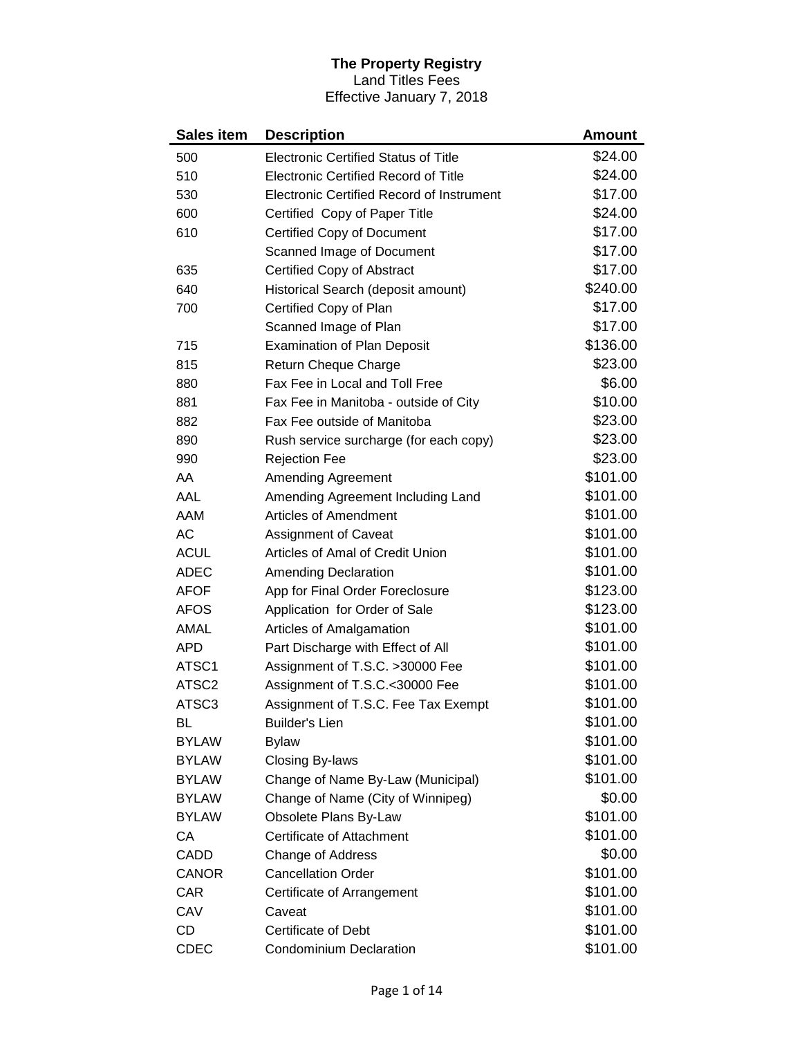## **The Property Registry** Land Titles Fees

Effective January 7, 2018

| <b>Sales item</b> | <b>Description</b>                               | Amount   |
|-------------------|--------------------------------------------------|----------|
| 500               | <b>Electronic Certified Status of Title</b>      | \$24.00  |
| 510               | <b>Electronic Certified Record of Title</b>      | \$24.00  |
| 530               | <b>Electronic Certified Record of Instrument</b> | \$17.00  |
| 600               | Certified Copy of Paper Title                    | \$24.00  |
| 610               | Certified Copy of Document                       | \$17.00  |
|                   | Scanned Image of Document                        | \$17.00  |
| 635               | Certified Copy of Abstract                       | \$17.00  |
| 640               | Historical Search (deposit amount)               | \$240.00 |
| 700               | Certified Copy of Plan                           | \$17.00  |
|                   | Scanned Image of Plan                            | \$17.00  |
| 715               | <b>Examination of Plan Deposit</b>               | \$136.00 |
| 815               | Return Cheque Charge                             | \$23.00  |
| 880               | Fax Fee in Local and Toll Free                   | \$6.00   |
| 881               | Fax Fee in Manitoba - outside of City            | \$10.00  |
| 882               | Fax Fee outside of Manitoba                      | \$23.00  |
| 890               | Rush service surcharge (for each copy)           | \$23.00  |
| 990               | <b>Rejection Fee</b>                             | \$23.00  |
| AA                | Amending Agreement                               | \$101.00 |
| AAL               | Amending Agreement Including Land                | \$101.00 |
| AAM               | <b>Articles of Amendment</b>                     | \$101.00 |
| <b>AC</b>         | <b>Assignment of Caveat</b>                      | \$101.00 |
| <b>ACUL</b>       | Articles of Amal of Credit Union                 | \$101.00 |
| <b>ADEC</b>       | <b>Amending Declaration</b>                      | \$101.00 |
| <b>AFOF</b>       | App for Final Order Foreclosure                  | \$123.00 |
| <b>AFOS</b>       | Application for Order of Sale                    | \$123.00 |
| <b>AMAL</b>       | Articles of Amalgamation                         | \$101.00 |
| <b>APD</b>        | Part Discharge with Effect of All                | \$101.00 |
| ATSC1             | Assignment of T.S.C. >30000 Fee                  | \$101.00 |
| ATSC <sub>2</sub> | Assignment of T.S.C.<30000 Fee                   | \$101.00 |
| ATSC3             | Assignment of T.S.C. Fee Tax Exempt              | \$101.00 |
| BL                | <b>Builder's Lien</b>                            | \$101.00 |
| <b>BYLAW</b>      | <b>Bylaw</b>                                     | \$101.00 |
| <b>BYLAW</b>      | <b>Closing By-laws</b>                           | \$101.00 |
| <b>BYLAW</b>      | Change of Name By-Law (Municipal)                | \$101.00 |
| <b>BYLAW</b>      | Change of Name (City of Winnipeg)                | \$0.00   |
| <b>BYLAW</b>      | Obsolete Plans By-Law                            | \$101.00 |
| СA                | Certificate of Attachment                        | \$101.00 |
| CADD              | Change of Address                                | \$0.00   |
| <b>CANOR</b>      | <b>Cancellation Order</b>                        | \$101.00 |
| CAR               | Certificate of Arrangement                       | \$101.00 |
| CAV               | Caveat                                           | \$101.00 |
| CD                | <b>Certificate of Debt</b>                       | \$101.00 |
| <b>CDEC</b>       | <b>Condominium Declaration</b>                   | \$101.00 |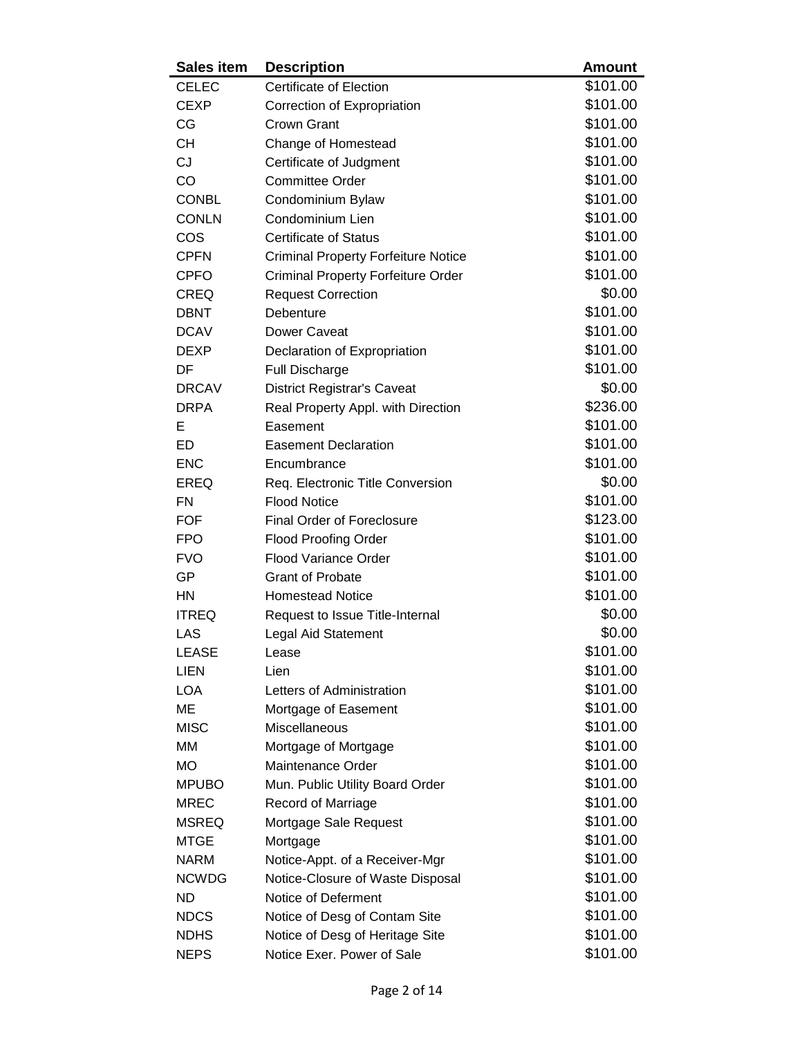| <b>Sales item</b> | <b>Description</b>                         | <b>Amount</b> |
|-------------------|--------------------------------------------|---------------|
| <b>CELEC</b>      | <b>Certificate of Election</b>             | \$101.00      |
| <b>CEXP</b>       | Correction of Expropriation                | \$101.00      |
| CG                | <b>Crown Grant</b>                         | \$101.00      |
| <b>CH</b>         | Change of Homestead                        | \$101.00      |
| <b>CJ</b>         | Certificate of Judgment                    | \$101.00      |
| CO                | <b>Committee Order</b>                     | \$101.00      |
| <b>CONBL</b>      | Condominium Bylaw                          | \$101.00      |
| <b>CONLN</b>      | Condominium Lien                           | \$101.00      |
| COS               | <b>Certificate of Status</b>               | \$101.00      |
| <b>CPFN</b>       | <b>Criminal Property Forfeiture Notice</b> | \$101.00      |
| <b>CPFO</b>       | <b>Criminal Property Forfeiture Order</b>  | \$101.00      |
| <b>CREQ</b>       | <b>Request Correction</b>                  | \$0.00        |
| <b>DBNT</b>       | Debenture                                  | \$101.00      |
| <b>DCAV</b>       | Dower Caveat                               | \$101.00      |
| <b>DEXP</b>       | Declaration of Expropriation               | \$101.00      |
| DF                | <b>Full Discharge</b>                      | \$101.00      |
| <b>DRCAV</b>      | <b>District Registrar's Caveat</b>         | \$0.00        |
| <b>DRPA</b>       | Real Property Appl. with Direction         | \$236.00      |
| Е                 | Easement                                   | \$101.00      |
| <b>ED</b>         | <b>Easement Declaration</b>                | \$101.00      |
| <b>ENC</b>        | Encumbrance                                | \$101.00      |
| EREQ              | Req. Electronic Title Conversion           | \$0.00        |
| <b>FN</b>         | <b>Flood Notice</b>                        | \$101.00      |
| <b>FOF</b>        | <b>Final Order of Foreclosure</b>          | \$123.00      |
| <b>FPO</b>        | <b>Flood Proofing Order</b>                | \$101.00      |
| <b>FVO</b>        | <b>Flood Variance Order</b>                | \$101.00      |
| GP                | <b>Grant of Probate</b>                    | \$101.00      |
| <b>HN</b>         | <b>Homestead Notice</b>                    | \$101.00      |
| <b>ITREQ</b>      | Request to Issue Title-Internal            | \$0.00        |
| LAS               | <b>Legal Aid Statement</b>                 | \$0.00        |
| <b>LEASE</b>      | Lease                                      | \$101.00      |
| <b>LIEN</b>       | Lien                                       | \$101.00      |
| <b>LOA</b>        | Letters of Administration                  | \$101.00      |
| ME                | Mortgage of Easement                       | \$101.00      |
| <b>MISC</b>       | Miscellaneous                              | \$101.00      |
| <b>MM</b>         | Mortgage of Mortgage                       | \$101.00      |
| <b>MO</b>         | Maintenance Order                          | \$101.00      |
| <b>MPUBO</b>      | Mun. Public Utility Board Order            | \$101.00      |
| <b>MREC</b>       | <b>Record of Marriage</b>                  | \$101.00      |
| <b>MSREQ</b>      | Mortgage Sale Request                      | \$101.00      |
| <b>MTGE</b>       | Mortgage                                   | \$101.00      |
| <b>NARM</b>       | Notice-Appt. of a Receiver-Mgr             | \$101.00      |
| <b>NCWDG</b>      | Notice-Closure of Waste Disposal           | \$101.00      |
| <b>ND</b>         | Notice of Deferment                        | \$101.00      |
| <b>NDCS</b>       | Notice of Desg of Contam Site              | \$101.00      |
| <b>NDHS</b>       | Notice of Desg of Heritage Site            | \$101.00      |
| <b>NEPS</b>       | Notice Exer. Power of Sale                 | \$101.00      |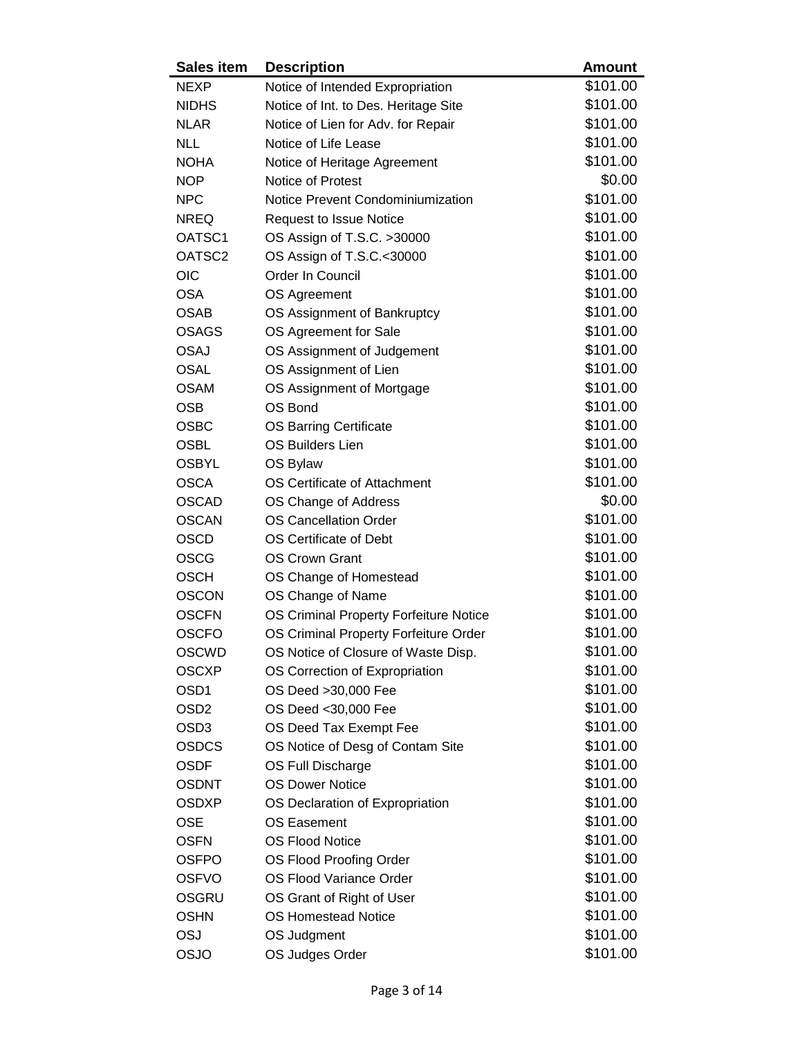| <b>Sales item</b>  | <b>Description</b>                     | <b>Amount</b> |
|--------------------|----------------------------------------|---------------|
| <b>NEXP</b>        | Notice of Intended Expropriation       | \$101.00      |
| <b>NIDHS</b>       | Notice of Int. to Des. Heritage Site   | \$101.00      |
| <b>NLAR</b>        | Notice of Lien for Adv. for Repair     | \$101.00      |
| <b>NLL</b>         | Notice of Life Lease                   | \$101.00      |
| <b>NOHA</b>        | Notice of Heritage Agreement           | \$101.00      |
| <b>NOP</b>         | Notice of Protest                      | \$0.00        |
| <b>NPC</b>         | Notice Prevent Condominiumization      | \$101.00      |
| <b>NREQ</b>        | <b>Request to Issue Notice</b>         | \$101.00      |
| OATSC1             | OS Assign of T.S.C. >30000             | \$101.00      |
| OATSC <sub>2</sub> | OS Assign of T.S.C.<30000              | \$101.00      |
| <b>OIC</b>         | Order In Council                       | \$101.00      |
| <b>OSA</b>         | OS Agreement                           | \$101.00      |
| <b>OSAB</b>        | OS Assignment of Bankruptcy            | \$101.00      |
| <b>OSAGS</b>       | OS Agreement for Sale                  | \$101.00      |
| <b>OSAJ</b>        | OS Assignment of Judgement             | \$101.00      |
| <b>OSAL</b>        | OS Assignment of Lien                  | \$101.00      |
| <b>OSAM</b>        | OS Assignment of Mortgage              | \$101.00      |
| <b>OSB</b>         | OS Bond                                | \$101.00      |
| <b>OSBC</b>        | <b>OS Barring Certificate</b>          | \$101.00      |
| <b>OSBL</b>        | <b>OS Builders Lien</b>                | \$101.00      |
| <b>OSBYL</b>       | OS Bylaw                               | \$101.00      |
| <b>OSCA</b>        | OS Certificate of Attachment           | \$101.00      |
| <b>OSCAD</b>       | OS Change of Address                   | \$0.00        |
| <b>OSCAN</b>       | <b>OS Cancellation Order</b>           | \$101.00      |
| <b>OSCD</b>        | OS Certificate of Debt                 | \$101.00      |
| <b>OSCG</b>        | <b>OS Crown Grant</b>                  | \$101.00      |
| <b>OSCH</b>        | OS Change of Homestead                 | \$101.00      |
| <b>OSCON</b>       | OS Change of Name                      | \$101.00      |
| <b>OSCFN</b>       | OS Criminal Property Forfeiture Notice | \$101.00      |
| <b>OSCFO</b>       | OS Criminal Property Forfeiture Order  | \$101.00      |
| <b>OSCWD</b>       | OS Notice of Closure of Waste Disp.    | \$101.00      |
| <b>OSCXP</b>       | OS Correction of Expropriation         | \$101.00      |
| OSD <sub>1</sub>   | OS Deed >30,000 Fee                    | \$101.00      |
| OSD <sub>2</sub>   | OS Deed < 30,000 Fee                   | \$101.00      |
| OSD <sub>3</sub>   | OS Deed Tax Exempt Fee                 | \$101.00      |
| <b>OSDCS</b>       | OS Notice of Desg of Contam Site       | \$101.00      |
| <b>OSDF</b>        | OS Full Discharge                      | \$101.00      |
| <b>OSDNT</b>       | <b>OS Dower Notice</b>                 | \$101.00      |
| <b>OSDXP</b>       | OS Declaration of Expropriation        | \$101.00      |
| <b>OSE</b>         | <b>OS Easement</b>                     | \$101.00      |
| <b>OSFN</b>        | <b>OS Flood Notice</b>                 | \$101.00      |
| <b>OSFPO</b>       | OS Flood Proofing Order                | \$101.00      |
| <b>OSFVO</b>       | <b>OS Flood Variance Order</b>         | \$101.00      |
| OSGRU              | OS Grant of Right of User              | \$101.00      |
| <b>OSHN</b>        | <b>OS Homestead Notice</b>             | \$101.00      |
| OSJ                | OS Judgment                            | \$101.00      |
| OSJO               | OS Judges Order                        | \$101.00      |
|                    |                                        |               |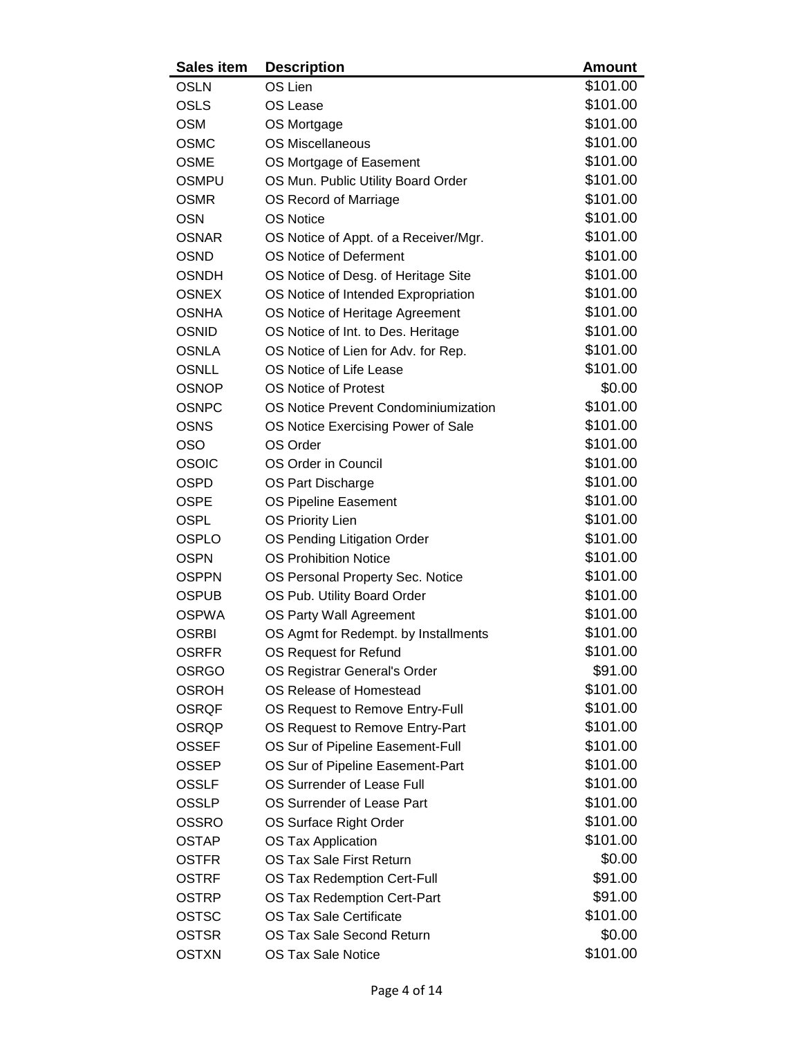| <b>Sales item</b> | <b>Description</b>                    | <b>Amount</b> |
|-------------------|---------------------------------------|---------------|
| <b>OSLN</b>       | OS Lien                               | \$101.00      |
| <b>OSLS</b>       | OS Lease                              | \$101.00      |
| <b>OSM</b>        | OS Mortgage                           | \$101.00      |
| <b>OSMC</b>       | <b>OS Miscellaneous</b>               | \$101.00      |
| <b>OSME</b>       | OS Mortgage of Easement               | \$101.00      |
| <b>OSMPU</b>      | OS Mun. Public Utility Board Order    | \$101.00      |
| <b>OSMR</b>       | OS Record of Marriage                 | \$101.00      |
| <b>OSN</b>        | <b>OS Notice</b>                      | \$101.00      |
| <b>OSNAR</b>      | OS Notice of Appt. of a Receiver/Mgr. | \$101.00      |
| <b>OSND</b>       | OS Notice of Deferment                | \$101.00      |
| <b>OSNDH</b>      | OS Notice of Desg. of Heritage Site   | \$101.00      |
| <b>OSNEX</b>      | OS Notice of Intended Expropriation   | \$101.00      |
| <b>OSNHA</b>      | OS Notice of Heritage Agreement       | \$101.00      |
| <b>OSNID</b>      | OS Notice of Int. to Des. Heritage    | \$101.00      |
| <b>OSNLA</b>      | OS Notice of Lien for Adv. for Rep.   | \$101.00      |
| <b>OSNLL</b>      | OS Notice of Life Lease               | \$101.00      |
| <b>OSNOP</b>      | <b>OS Notice of Protest</b>           | \$0.00        |
| <b>OSNPC</b>      | OS Notice Prevent Condominiumization  | \$101.00      |
| <b>OSNS</b>       | OS Notice Exercising Power of Sale    | \$101.00      |
| <b>OSO</b>        | OS Order                              | \$101.00      |
| <b>OSOIC</b>      | OS Order in Council                   | \$101.00      |
| <b>OSPD</b>       | OS Part Discharge                     | \$101.00      |
| <b>OSPE</b>       | OS Pipeline Easement                  | \$101.00      |
| <b>OSPL</b>       | <b>OS Priority Lien</b>               | \$101.00      |
| <b>OSPLO</b>      | OS Pending Litigation Order           | \$101.00      |
| <b>OSPN</b>       | <b>OS Prohibition Notice</b>          | \$101.00      |
| <b>OSPPN</b>      | OS Personal Property Sec. Notice      | \$101.00      |
| <b>OSPUB</b>      | OS Pub. Utility Board Order           | \$101.00      |
| <b>OSPWA</b>      | OS Party Wall Agreement               | \$101.00      |
| <b>OSRBI</b>      | OS Agmt for Redempt. by Installments  | \$101.00      |
| <b>OSRFR</b>      | OS Request for Refund                 | \$101.00      |
| <b>OSRGO</b>      | OS Registrar General's Order          | \$91.00       |
| <b>OSROH</b>      | OS Release of Homestead               | \$101.00      |
| <b>OSRQF</b>      | OS Request to Remove Entry-Full       | \$101.00      |
| <b>OSRQP</b>      | OS Request to Remove Entry-Part       | \$101.00      |
| <b>OSSEF</b>      | OS Sur of Pipeline Easement-Full      | \$101.00      |
| <b>OSSEP</b>      | OS Sur of Pipeline Easement-Part      | \$101.00      |
| <b>OSSLF</b>      | OS Surrender of Lease Full            | \$101.00      |
| <b>OSSLP</b>      | OS Surrender of Lease Part            | \$101.00      |
| <b>OSSRO</b>      | OS Surface Right Order                | \$101.00      |
| <b>OSTAP</b>      | <b>OS Tax Application</b>             | \$101.00      |
| <b>OSTFR</b>      | OS Tax Sale First Return              | \$0.00        |
| <b>OSTRF</b>      | OS Tax Redemption Cert-Full           | \$91.00       |
| <b>OSTRP</b>      | OS Tax Redemption Cert-Part           | \$91.00       |
| <b>OSTSC</b>      | <b>OS Tax Sale Certificate</b>        | \$101.00      |
| <b>OSTSR</b>      | OS Tax Sale Second Return             | \$0.00        |
| <b>OSTXN</b>      | <b>OS Tax Sale Notice</b>             | \$101.00      |
|                   |                                       |               |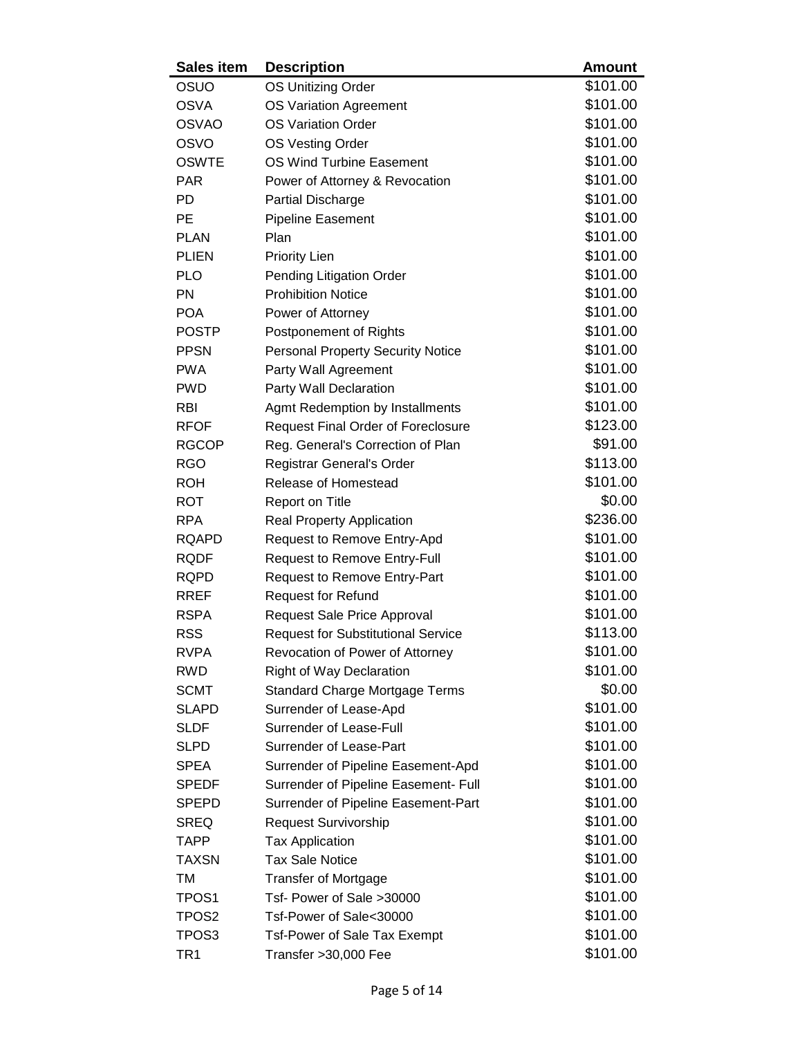| <b>Sales item</b> | <b>Description</b>                        | <b>Amount</b> |
|-------------------|-------------------------------------------|---------------|
| OSUO              | <b>OS Unitizing Order</b>                 | \$101.00      |
| <b>OSVA</b>       | <b>OS Variation Agreement</b>             | \$101.00      |
| <b>OSVAO</b>      | <b>OS Variation Order</b>                 | \$101.00      |
| <b>OSVO</b>       | OS Vesting Order                          | \$101.00      |
| <b>OSWTE</b>      | <b>OS Wind Turbine Easement</b>           | \$101.00      |
| <b>PAR</b>        | Power of Attorney & Revocation            | \$101.00      |
| PD                | Partial Discharge                         | \$101.00      |
| PE                | <b>Pipeline Easement</b>                  | \$101.00      |
| <b>PLAN</b>       | Plan                                      | \$101.00      |
| <b>PLIEN</b>      | <b>Priority Lien</b>                      | \$101.00      |
| <b>PLO</b>        | Pending Litigation Order                  | \$101.00      |
| <b>PN</b>         | <b>Prohibition Notice</b>                 | \$101.00      |
| <b>POA</b>        | Power of Attorney                         | \$101.00      |
| <b>POSTP</b>      | Postponement of Rights                    | \$101.00      |
| <b>PPSN</b>       | <b>Personal Property Security Notice</b>  | \$101.00      |
| <b>PWA</b>        | Party Wall Agreement                      | \$101.00      |
| <b>PWD</b>        | Party Wall Declaration                    | \$101.00      |
| <b>RBI</b>        | Agmt Redemption by Installments           | \$101.00      |
| <b>RFOF</b>       | <b>Request Final Order of Foreclosure</b> | \$123.00      |
| <b>RGCOP</b>      | Reg. General's Correction of Plan         | \$91.00       |
| <b>RGO</b>        | Registrar General's Order                 | \$113.00      |
| <b>ROH</b>        | Release of Homestead                      | \$101.00      |
| <b>ROT</b>        | Report on Title                           | \$0.00        |
| <b>RPA</b>        | <b>Real Property Application</b>          | \$236.00      |
| <b>RQAPD</b>      | Request to Remove Entry-Apd               | \$101.00      |
| <b>RQDF</b>       | Request to Remove Entry-Full              | \$101.00      |
| <b>RQPD</b>       | <b>Request to Remove Entry-Part</b>       | \$101.00      |
| <b>RREF</b>       | <b>Request for Refund</b>                 | \$101.00      |
| <b>RSPA</b>       | <b>Request Sale Price Approval</b>        | \$101.00      |
| <b>RSS</b>        | <b>Request for Substitutional Service</b> | \$113.00      |
| <b>RVPA</b>       | Revocation of Power of Attorney           | \$101.00      |
| <b>RWD</b>        | <b>Right of Way Declaration</b>           | \$101.00      |
| <b>SCMT</b>       | <b>Standard Charge Mortgage Terms</b>     | \$0.00        |
| <b>SLAPD</b>      | Surrender of Lease-Apd                    | \$101.00      |
| <b>SLDF</b>       | Surrender of Lease-Full                   | \$101.00      |
| <b>SLPD</b>       | Surrender of Lease-Part                   | \$101.00      |
| <b>SPEA</b>       | Surrender of Pipeline Easement-Apd        | \$101.00      |
| <b>SPEDF</b>      | Surrender of Pipeline Easement- Full      | \$101.00      |
| <b>SPEPD</b>      | Surrender of Pipeline Easement-Part       | \$101.00      |
| <b>SREQ</b>       | Request Survivorship                      | \$101.00      |
| <b>TAPP</b>       | <b>Tax Application</b>                    | \$101.00      |
| TAXSN             | <b>Tax Sale Notice</b>                    | \$101.00      |
| TM                | <b>Transfer of Mortgage</b>               | \$101.00      |
| TPOS <sub>1</sub> | Tsf- Power of Sale >30000                 | \$101.00      |
| TPOS <sub>2</sub> | Tsf-Power of Sale<30000                   | \$101.00      |
| TPOS <sub>3</sub> | <b>Tsf-Power of Sale Tax Exempt</b>       | \$101.00      |
| TR <sub>1</sub>   | Transfer > 30,000 Fee                     | \$101.00      |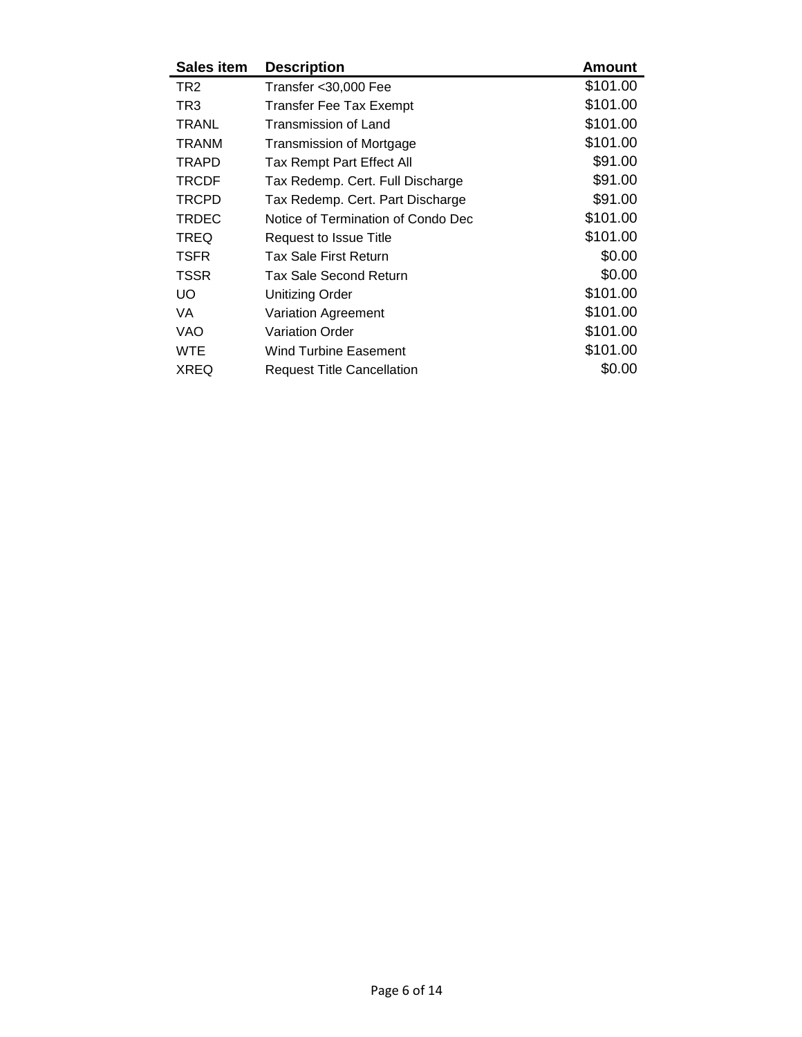| <b>Sales item</b> | <b>Description</b>                 | <b>Amount</b> |
|-------------------|------------------------------------|---------------|
| TR <sub>2</sub>   | Transfer < 30,000 Fee              | \$101.00      |
| TR3               | Transfer Fee Tax Exempt            | \$101.00      |
| <b>TRANL</b>      | Transmission of Land               | \$101.00      |
| <b>TRANM</b>      | Transmission of Mortgage           | \$101.00      |
| <b>TRAPD</b>      | Tax Rempt Part Effect All          | \$91.00       |
| <b>TRCDF</b>      | Tax Redemp. Cert. Full Discharge   | \$91.00       |
| <b>TRCPD</b>      | Tax Redemp. Cert. Part Discharge   | \$91.00       |
| <b>TRDEC</b>      | Notice of Termination of Condo Dec | \$101.00      |
| <b>TREQ</b>       | Request to Issue Title             | \$101.00      |
| <b>TSFR</b>       | Tax Sale First Return              | \$0.00        |
| TSSR              | Tax Sale Second Return             | \$0.00        |
| UO.               | <b>Unitizing Order</b>             | \$101.00      |
| VA                | Variation Agreement                | \$101.00      |
| VAO               | <b>Variation Order</b>             | \$101.00      |
| <b>WTE</b>        | <b>Wind Turbine Easement</b>       | \$101.00      |
| <b>XREQ</b>       | <b>Request Title Cancellation</b>  | \$0.00        |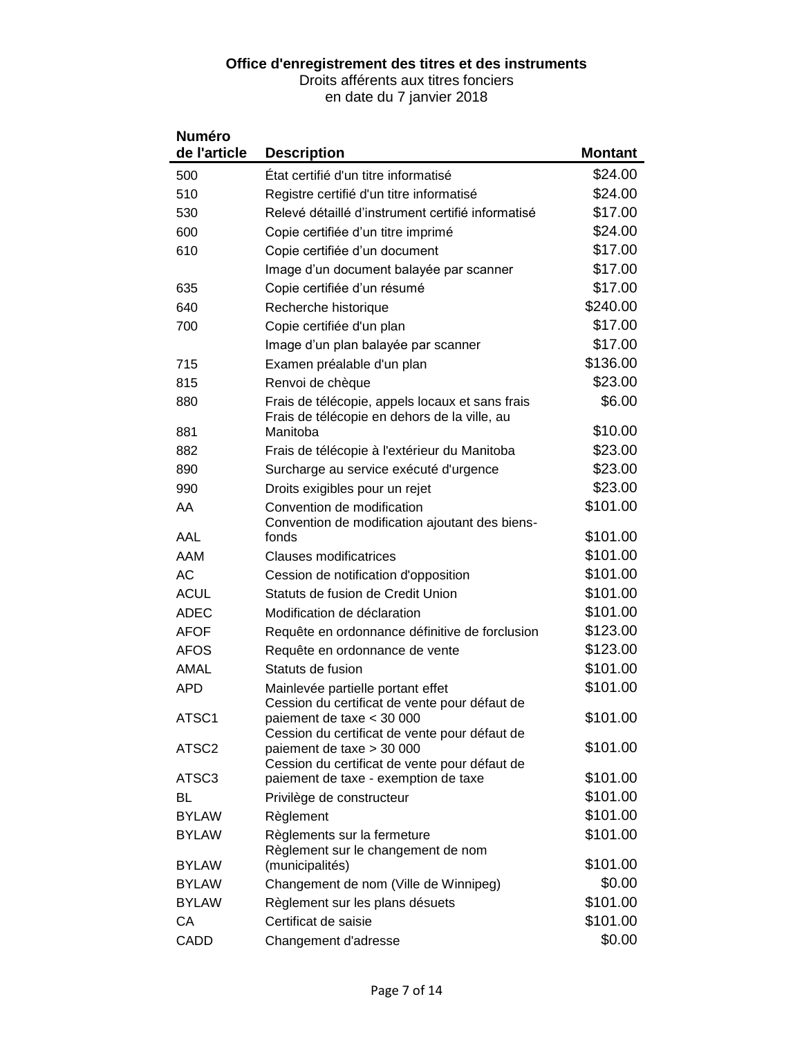#### **Office d'enregistrement des titres et des instruments**

Droits afférents aux titres fonciers

en date du 7 janvier 2018

| <b>Numéro</b><br>de l'article | <b>Description</b>                                                         | <b>Montant</b> |
|-------------------------------|----------------------------------------------------------------------------|----------------|
| 500                           | État certifié d'un titre informatisé                                       | \$24.00        |
| 510                           | Registre certifié d'un titre informatisé                                   | \$24.00        |
| 530                           | Relevé détaillé d'instrument certifié informatisé                          | \$17.00        |
| 600                           | Copie certifiée d'un titre imprimé                                         | \$24.00        |
| 610                           | Copie certifiée d'un document                                              | \$17.00        |
|                               | Image d'un document balayée par scanner                                    | \$17.00        |
| 635                           | Copie certifiée d'un résumé                                                | \$17.00        |
| 640                           | Recherche historique                                                       | \$240.00       |
| 700                           | Copie certifiée d'un plan                                                  | \$17.00        |
|                               | Image d'un plan balayée par scanner                                        | \$17.00        |
| 715                           | Examen préalable d'un plan                                                 | \$136.00       |
| 815                           | Renvoi de chèque                                                           | \$23.00        |
| 880                           | Frais de télécopie, appels locaux et sans frais                            | \$6.00         |
|                               | Frais de télécopie en dehors de la ville, au                               |                |
| 881                           | Manitoba                                                                   | \$10.00        |
| 882                           | Frais de télécopie à l'extérieur du Manitoba                               | \$23.00        |
| 890                           | Surcharge au service exécuté d'urgence                                     | \$23.00        |
| 990                           | Droits exigibles pour un rejet                                             | \$23.00        |
| AA                            | Convention de modification                                                 | \$101.00       |
| AAL                           | Convention de modification ajoutant des biens-<br>fonds                    | \$101.00       |
| AAM                           | <b>Clauses modificatrices</b>                                              | \$101.00       |
| AC                            | Cession de notification d'opposition                                       | \$101.00       |
| <b>ACUL</b>                   | Statuts de fusion de Credit Union                                          | \$101.00       |
| <b>ADEC</b>                   | Modification de déclaration                                                | \$101.00       |
| <b>AFOF</b>                   | Requête en ordonnance définitive de forclusion                             | \$123.00       |
| <b>AFOS</b>                   | Requête en ordonnance de vente                                             | \$123.00       |
| AMAL                          | Statuts de fusion                                                          | \$101.00       |
| <b>APD</b>                    | Mainlevée partielle portant effet                                          | \$101.00       |
|                               | Cession du certificat de vente pour défaut de                              |                |
| ATSC1                         | paiement de taxe < 30 000                                                  | \$101.00       |
| ATSC <sub>2</sub>             | Cession du certificat de vente pour défaut de<br>paiement de taxe > 30 000 | \$101.00       |
|                               | Cession du certificat de vente pour défaut de                              |                |
| ATSC <sub>3</sub>             | paiement de taxe - exemption de taxe                                       | \$101.00       |
| BL                            | Privilège de constructeur                                                  | \$101.00       |
| <b>BYLAW</b>                  | Règlement                                                                  | \$101.00       |
| <b>BYLAW</b>                  | Règlements sur la fermeture                                                | \$101.00       |
|                               | Règlement sur le changement de nom                                         |                |
| <b>BYLAW</b>                  | (municipalités)                                                            | \$101.00       |
| <b>BYLAW</b>                  | Changement de nom (Ville de Winnipeg)                                      | \$0.00         |
| <b>BYLAW</b>                  | Règlement sur les plans désuets                                            | \$101.00       |
| СA                            | Certificat de saisie                                                       | \$101.00       |
| CADD                          | Changement d'adresse                                                       | \$0.00         |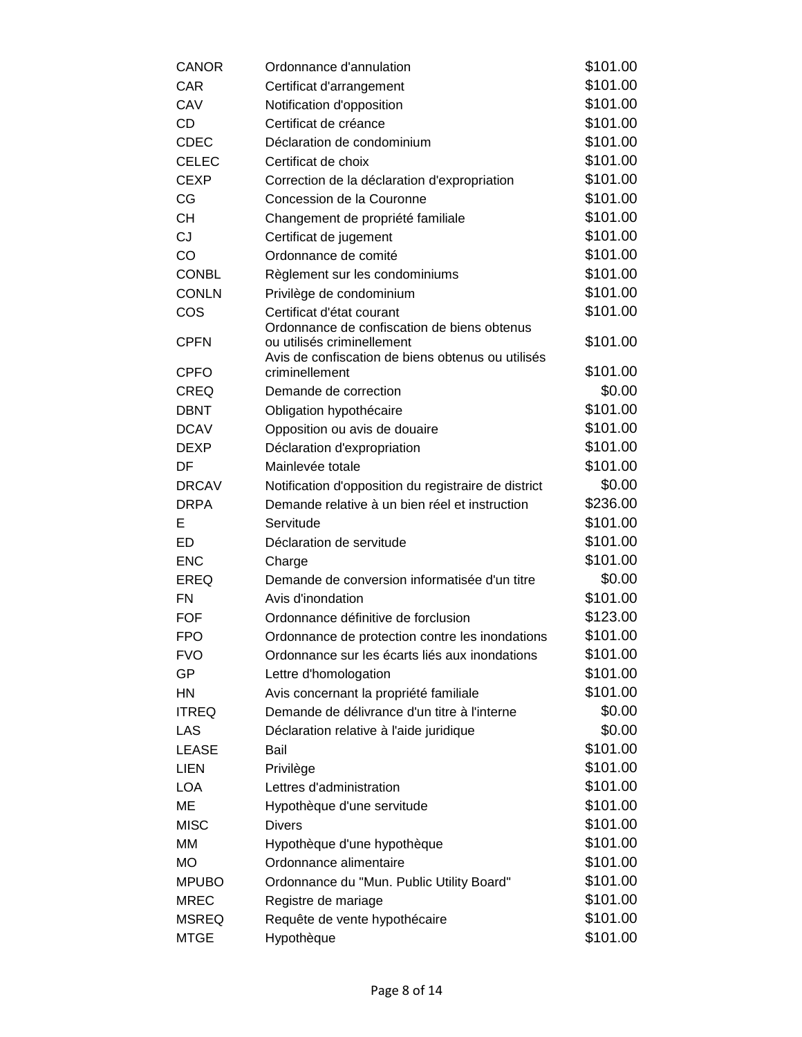| <b>CANOR</b> | Ordonnance d'annulation                                                         | \$101.00 |
|--------------|---------------------------------------------------------------------------------|----------|
| CAR          | Certificat d'arrangement                                                        | \$101.00 |
| CAV          | Notification d'opposition                                                       | \$101.00 |
| <b>CD</b>    | Certificat de créance                                                           | \$101.00 |
| <b>CDEC</b>  | Déclaration de condominium                                                      | \$101.00 |
| <b>CELEC</b> | Certificat de choix                                                             | \$101.00 |
| <b>CEXP</b>  | Correction de la déclaration d'expropriation                                    | \$101.00 |
| CG           | Concession de la Couronne                                                       | \$101.00 |
| <b>CH</b>    | Changement de propriété familiale                                               | \$101.00 |
| CJ           | Certificat de jugement                                                          | \$101.00 |
| CO           | Ordonnance de comité                                                            | \$101.00 |
| <b>CONBL</b> | Règlement sur les condominiums                                                  | \$101.00 |
| <b>CONLN</b> | Privilège de condominium                                                        | \$101.00 |
| COS          | Certificat d'état courant                                                       | \$101.00 |
|              | Ordonnance de confiscation de biens obtenus                                     |          |
| <b>CPFN</b>  | ou utilisés criminellement<br>Avis de confiscation de biens obtenus ou utilisés | \$101.00 |
| <b>CPFO</b>  | criminellement                                                                  | \$101.00 |
| <b>CREQ</b>  | Demande de correction                                                           | \$0.00   |
| <b>DBNT</b>  | Obligation hypothécaire                                                         | \$101.00 |
| <b>DCAV</b>  | Opposition ou avis de douaire                                                   | \$101.00 |
| <b>DEXP</b>  | Déclaration d'expropriation                                                     | \$101.00 |
| DF           | Mainlevée totale                                                                | \$101.00 |
| <b>DRCAV</b> | Notification d'opposition du registraire de district                            | \$0.00   |
| <b>DRPA</b>  | Demande relative à un bien réel et instruction                                  | \$236.00 |
| Е            | Servitude                                                                       | \$101.00 |
| ED           | Déclaration de servitude                                                        | \$101.00 |
| <b>ENC</b>   | Charge                                                                          | \$101.00 |
| <b>EREQ</b>  | Demande de conversion informatisée d'un titre                                   | \$0.00   |
| FN           | Avis d'inondation                                                               | \$101.00 |
| FOF          | Ordonnance définitive de forclusion                                             | \$123.00 |
| <b>FPO</b>   | Ordonnance de protection contre les inondations                                 | \$101.00 |
| <b>FVO</b>   | Ordonnance sur les écarts liés aux inondations                                  | \$101.00 |
| GP           | Lettre d'homologation                                                           | \$101.00 |
| HN           | Avis concernant la propriété familiale                                          | \$101.00 |
| <b>ITREQ</b> | Demande de délivrance d'un titre à l'interne                                    | \$0.00   |
| LAS          | Déclaration relative à l'aide juridique                                         | \$0.00   |
| LEASE        | Bail                                                                            | \$101.00 |
| <b>LIEN</b>  | Privilège                                                                       | \$101.00 |
| <b>LOA</b>   | Lettres d'administration                                                        | \$101.00 |
| ME           | Hypothèque d'une servitude                                                      | \$101.00 |
| <b>MISC</b>  | <b>Divers</b>                                                                   | \$101.00 |
| MM           | Hypothèque d'une hypothèque                                                     | \$101.00 |
| <b>MO</b>    | Ordonnance alimentaire                                                          | \$101.00 |
| <b>MPUBO</b> | Ordonnance du "Mun. Public Utility Board"                                       | \$101.00 |
| <b>MREC</b>  | Registre de mariage                                                             | \$101.00 |
| <b>MSREQ</b> | Requête de vente hypothécaire                                                   | \$101.00 |
| <b>MTGE</b>  | Hypothèque                                                                      | \$101.00 |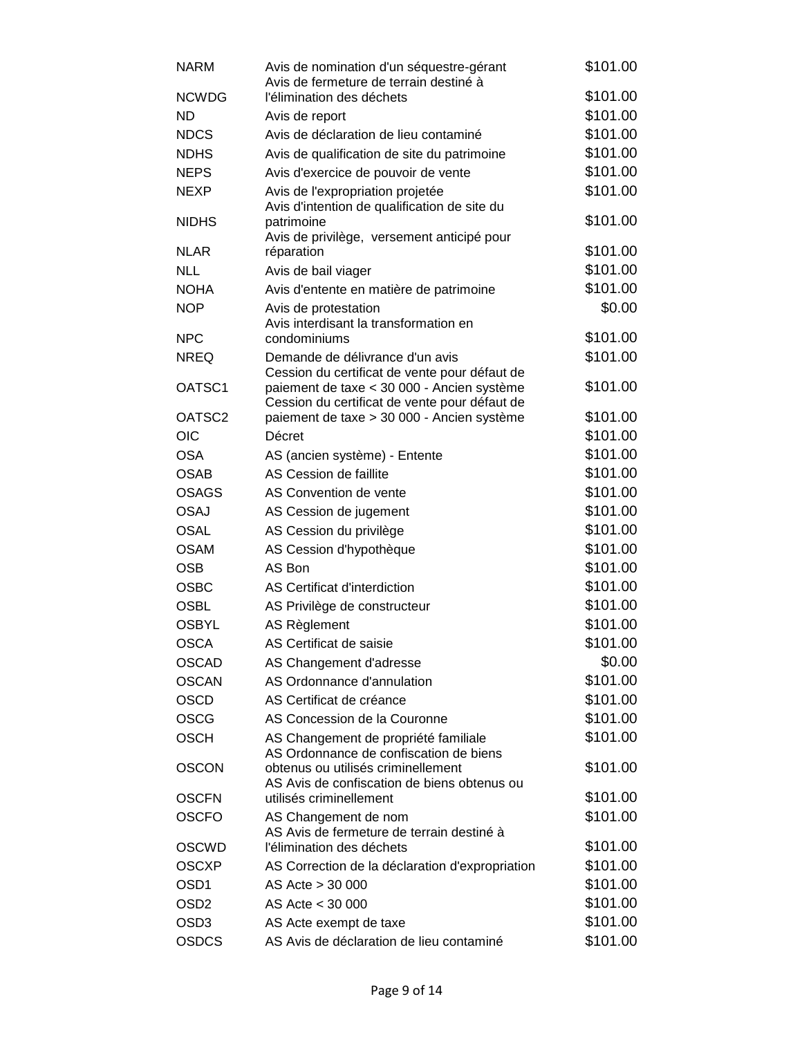| <b>NARM</b>        | Avis de nomination d'un séquestre-gérant<br>Avis de fermeture de terrain destiné à          | \$101.00 |
|--------------------|---------------------------------------------------------------------------------------------|----------|
| <b>NCWDG</b>       | l'élimination des déchets                                                                   | \$101.00 |
| <b>ND</b>          | Avis de report                                                                              | \$101.00 |
| <b>NDCS</b>        | Avis de déclaration de lieu contaminé                                                       | \$101.00 |
| <b>NDHS</b>        | Avis de qualification de site du patrimoine                                                 | \$101.00 |
| <b>NEPS</b>        | Avis d'exercice de pouvoir de vente                                                         | \$101.00 |
| <b>NEXP</b>        | Avis de l'expropriation projetée<br>Avis d'intention de qualification de site du            | \$101.00 |
| <b>NIDHS</b>       | patrimoine<br>Avis de privilège, versement anticipé pour                                    | \$101.00 |
| <b>NLAR</b>        | réparation                                                                                  | \$101.00 |
| <b>NLL</b>         | Avis de bail viager                                                                         | \$101.00 |
| <b>NOHA</b>        | Avis d'entente en matière de patrimoine                                                     | \$101.00 |
| <b>NOP</b>         | Avis de protestation                                                                        | \$0.00   |
|                    | Avis interdisant la transformation en                                                       |          |
| <b>NPC</b>         | condominiums                                                                                | \$101.00 |
| <b>NREQ</b>        | Demande de délivrance d'un avis<br>Cession du certificat de vente pour défaut de            | \$101.00 |
| OATSC1             | paiement de taxe < 30 000 - Ancien système<br>Cession du certificat de vente pour défaut de | \$101.00 |
| OATSC <sub>2</sub> | paiement de taxe > 30 000 - Ancien système                                                  | \$101.00 |
| <b>OIC</b>         | Décret                                                                                      | \$101.00 |
| <b>OSA</b>         | AS (ancien système) - Entente                                                               | \$101.00 |
| <b>OSAB</b>        | AS Cession de faillite                                                                      | \$101.00 |
| <b>OSAGS</b>       | AS Convention de vente                                                                      | \$101.00 |
| <b>OSAJ</b>        | AS Cession de jugement                                                                      | \$101.00 |
| <b>OSAL</b>        | AS Cession du privilège                                                                     | \$101.00 |
| <b>OSAM</b>        | AS Cession d'hypothèque                                                                     | \$101.00 |
| <b>OSB</b>         | AS Bon                                                                                      | \$101.00 |
| <b>OSBC</b>        | AS Certificat d'interdiction                                                                | \$101.00 |
| <b>OSBL</b>        | AS Privilège de constructeur                                                                | \$101.00 |
| <b>OSBYL</b>       | AS Règlement                                                                                | \$101.00 |
| <b>OSCA</b>        | AS Certificat de saisie                                                                     | \$101.00 |
| <b>OSCAD</b>       | AS Changement d'adresse                                                                     | \$0.00   |
| <b>OSCAN</b>       | AS Ordonnance d'annulation                                                                  | \$101.00 |
| <b>OSCD</b>        | AS Certificat de créance                                                                    | \$101.00 |
| <b>OSCG</b>        | AS Concession de la Couronne                                                                | \$101.00 |
| <b>OSCH</b>        | AS Changement de propriété familiale<br>AS Ordonnance de confiscation de biens              | \$101.00 |
| <b>OSCON</b>       | obtenus ou utilisés criminellement<br>AS Avis de confiscation de biens obtenus ou           | \$101.00 |
| <b>OSCFN</b>       | utilisés criminellement                                                                     | \$101.00 |
| <b>OSCFO</b>       | AS Changement de nom<br>AS Avis de fermeture de terrain destiné à                           | \$101.00 |
| <b>OSCWD</b>       | l'élimination des déchets                                                                   | \$101.00 |
| <b>OSCXP</b>       | AS Correction de la déclaration d'expropriation                                             | \$101.00 |
| OSD <sub>1</sub>   | AS Acte > 30 000                                                                            | \$101.00 |
| OSD <sub>2</sub>   | AS Acte < 30 000                                                                            | \$101.00 |
| OSD <sub>3</sub>   | AS Acte exempt de taxe                                                                      | \$101.00 |
| <b>OSDCS</b>       | AS Avis de déclaration de lieu contaminé                                                    | \$101.00 |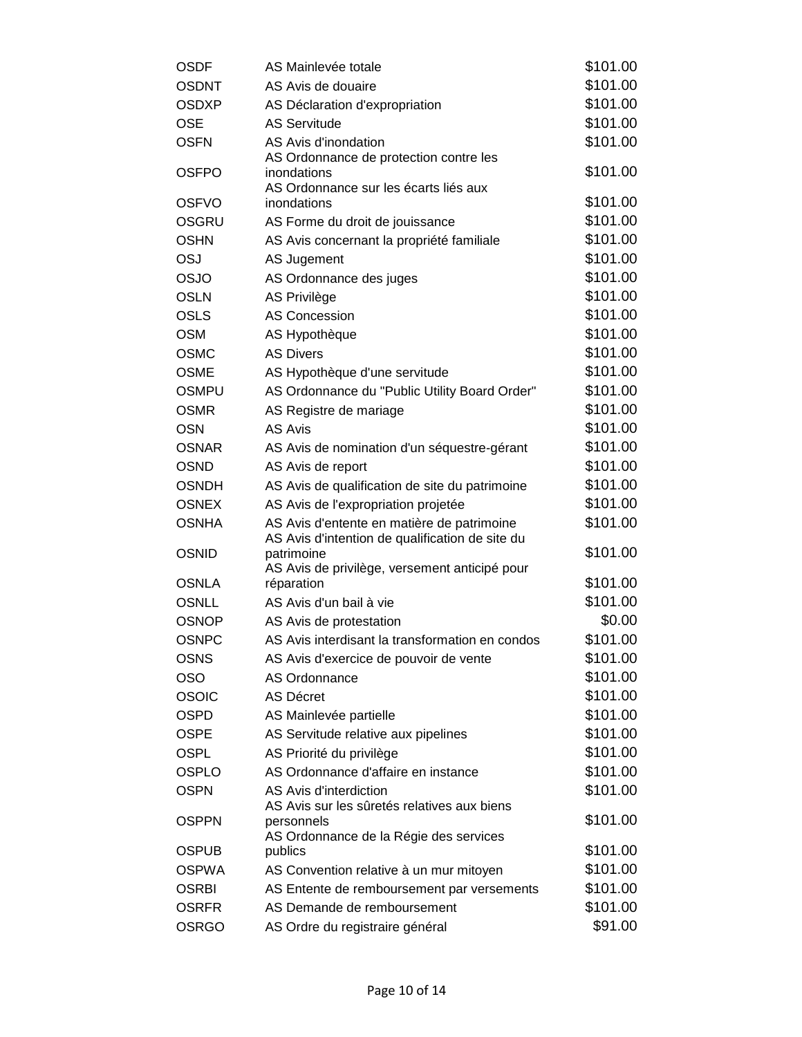| \$101.00<br><b>OSDNT</b><br>AS Avis de douaire<br>\$101.00<br><b>OSDXP</b><br>AS Déclaration d'expropriation<br>\$101.00<br><b>OSE</b><br><b>AS Servitude</b><br>\$101.00<br><b>OSFN</b><br>AS Avis d'inondation<br>AS Ordonnance de protection contre les<br>\$101.00<br><b>OSFPO</b><br>inondations<br>AS Ordonnance sur les écarts liés aux<br>\$101.00<br><b>OSFVO</b><br>inondations<br>\$101.00<br>OSGRU<br>AS Forme du droit de jouissance<br>\$101.00<br><b>OSHN</b><br>AS Avis concernant la propriété familiale<br>\$101.00<br>OSJ<br>AS Jugement<br>\$101.00<br><b>OSJO</b><br>AS Ordonnance des juges<br>\$101.00<br><b>OSLN</b><br>AS Privilège<br>\$101.00<br><b>OSLS</b><br><b>AS Concession</b><br>\$101.00<br><b>OSM</b><br>AS Hypothèque<br>\$101.00<br><b>OSMC</b><br><b>AS Divers</b><br>\$101.00<br><b>OSME</b><br>AS Hypothèque d'une servitude<br>\$101.00<br><b>OSMPU</b><br>AS Ordonnance du "Public Utility Board Order"<br>\$101.00<br><b>OSMR</b><br>AS Registre de mariage<br>\$101.00<br><b>OSN</b><br>AS Avis<br>\$101.00<br><b>OSNAR</b><br>AS Avis de nomination d'un séquestre-gérant<br>\$101.00<br><b>OSND</b><br>AS Avis de report<br>\$101.00<br><b>OSNDH</b><br>AS Avis de qualification de site du patrimoine<br>\$101.00<br><b>OSNEX</b><br>AS Avis de l'expropriation projetée<br>\$101.00<br><b>OSNHA</b><br>AS Avis d'entente en matière de patrimoine<br>AS Avis d'intention de qualification de site du<br>\$101.00<br><b>OSNID</b><br>patrimoine<br>AS Avis de privilège, versement anticipé pour<br>\$101.00<br><b>OSNLA</b><br>réparation<br>\$101.00<br><b>OSNLL</b><br>AS Avis d'un bail à vie<br>\$0.00<br><b>OSNOP</b><br>AS Avis de protestation<br>\$101.00<br><b>OSNPC</b><br>AS Avis interdisant la transformation en condos<br>\$101.00<br><b>OSNS</b><br>AS Avis d'exercice de pouvoir de vente<br>\$101.00<br><b>OSO</b><br>AS Ordonnance<br>\$101.00<br><b>OSOIC</b><br><b>AS Décret</b><br>\$101.00<br><b>OSPD</b><br>AS Mainlevée partielle<br>\$101.00<br>AS Servitude relative aux pipelines<br><b>OSPE</b><br>\$101.00<br><b>OSPL</b><br>AS Priorité du privilège<br>\$101.00<br><b>OSPLO</b><br>AS Ordonnance d'affaire en instance | OSDF | AS Mainlevée totale | \$101.00 |
|--------------------------------------------------------------------------------------------------------------------------------------------------------------------------------------------------------------------------------------------------------------------------------------------------------------------------------------------------------------------------------------------------------------------------------------------------------------------------------------------------------------------------------------------------------------------------------------------------------------------------------------------------------------------------------------------------------------------------------------------------------------------------------------------------------------------------------------------------------------------------------------------------------------------------------------------------------------------------------------------------------------------------------------------------------------------------------------------------------------------------------------------------------------------------------------------------------------------------------------------------------------------------------------------------------------------------------------------------------------------------------------------------------------------------------------------------------------------------------------------------------------------------------------------------------------------------------------------------------------------------------------------------------------------------------------------------------------------------------------------------------------------------------------------------------------------------------------------------------------------------------------------------------------------------------------------------------------------------------------------------------------------------------------------------------------------------------------------------------------------------------------------------------------------------------------------------------|------|---------------------|----------|
|                                                                                                                                                                                                                                                                                                                                                                                                                                                                                                                                                                                                                                                                                                                                                                                                                                                                                                                                                                                                                                                                                                                                                                                                                                                                                                                                                                                                                                                                                                                                                                                                                                                                                                                                                                                                                                                                                                                                                                                                                                                                                                                                                                                                        |      |                     |          |
|                                                                                                                                                                                                                                                                                                                                                                                                                                                                                                                                                                                                                                                                                                                                                                                                                                                                                                                                                                                                                                                                                                                                                                                                                                                                                                                                                                                                                                                                                                                                                                                                                                                                                                                                                                                                                                                                                                                                                                                                                                                                                                                                                                                                        |      |                     |          |
|                                                                                                                                                                                                                                                                                                                                                                                                                                                                                                                                                                                                                                                                                                                                                                                                                                                                                                                                                                                                                                                                                                                                                                                                                                                                                                                                                                                                                                                                                                                                                                                                                                                                                                                                                                                                                                                                                                                                                                                                                                                                                                                                                                                                        |      |                     |          |
|                                                                                                                                                                                                                                                                                                                                                                                                                                                                                                                                                                                                                                                                                                                                                                                                                                                                                                                                                                                                                                                                                                                                                                                                                                                                                                                                                                                                                                                                                                                                                                                                                                                                                                                                                                                                                                                                                                                                                                                                                                                                                                                                                                                                        |      |                     |          |
|                                                                                                                                                                                                                                                                                                                                                                                                                                                                                                                                                                                                                                                                                                                                                                                                                                                                                                                                                                                                                                                                                                                                                                                                                                                                                                                                                                                                                                                                                                                                                                                                                                                                                                                                                                                                                                                                                                                                                                                                                                                                                                                                                                                                        |      |                     |          |
|                                                                                                                                                                                                                                                                                                                                                                                                                                                                                                                                                                                                                                                                                                                                                                                                                                                                                                                                                                                                                                                                                                                                                                                                                                                                                                                                                                                                                                                                                                                                                                                                                                                                                                                                                                                                                                                                                                                                                                                                                                                                                                                                                                                                        |      |                     |          |
|                                                                                                                                                                                                                                                                                                                                                                                                                                                                                                                                                                                                                                                                                                                                                                                                                                                                                                                                                                                                                                                                                                                                                                                                                                                                                                                                                                                                                                                                                                                                                                                                                                                                                                                                                                                                                                                                                                                                                                                                                                                                                                                                                                                                        |      |                     |          |
|                                                                                                                                                                                                                                                                                                                                                                                                                                                                                                                                                                                                                                                                                                                                                                                                                                                                                                                                                                                                                                                                                                                                                                                                                                                                                                                                                                                                                                                                                                                                                                                                                                                                                                                                                                                                                                                                                                                                                                                                                                                                                                                                                                                                        |      |                     |          |
|                                                                                                                                                                                                                                                                                                                                                                                                                                                                                                                                                                                                                                                                                                                                                                                                                                                                                                                                                                                                                                                                                                                                                                                                                                                                                                                                                                                                                                                                                                                                                                                                                                                                                                                                                                                                                                                                                                                                                                                                                                                                                                                                                                                                        |      |                     |          |
|                                                                                                                                                                                                                                                                                                                                                                                                                                                                                                                                                                                                                                                                                                                                                                                                                                                                                                                                                                                                                                                                                                                                                                                                                                                                                                                                                                                                                                                                                                                                                                                                                                                                                                                                                                                                                                                                                                                                                                                                                                                                                                                                                                                                        |      |                     |          |
|                                                                                                                                                                                                                                                                                                                                                                                                                                                                                                                                                                                                                                                                                                                                                                                                                                                                                                                                                                                                                                                                                                                                                                                                                                                                                                                                                                                                                                                                                                                                                                                                                                                                                                                                                                                                                                                                                                                                                                                                                                                                                                                                                                                                        |      |                     |          |
|                                                                                                                                                                                                                                                                                                                                                                                                                                                                                                                                                                                                                                                                                                                                                                                                                                                                                                                                                                                                                                                                                                                                                                                                                                                                                                                                                                                                                                                                                                                                                                                                                                                                                                                                                                                                                                                                                                                                                                                                                                                                                                                                                                                                        |      |                     |          |
|                                                                                                                                                                                                                                                                                                                                                                                                                                                                                                                                                                                                                                                                                                                                                                                                                                                                                                                                                                                                                                                                                                                                                                                                                                                                                                                                                                                                                                                                                                                                                                                                                                                                                                                                                                                                                                                                                                                                                                                                                                                                                                                                                                                                        |      |                     |          |
|                                                                                                                                                                                                                                                                                                                                                                                                                                                                                                                                                                                                                                                                                                                                                                                                                                                                                                                                                                                                                                                                                                                                                                                                                                                                                                                                                                                                                                                                                                                                                                                                                                                                                                                                                                                                                                                                                                                                                                                                                                                                                                                                                                                                        |      |                     |          |
|                                                                                                                                                                                                                                                                                                                                                                                                                                                                                                                                                                                                                                                                                                                                                                                                                                                                                                                                                                                                                                                                                                                                                                                                                                                                                                                                                                                                                                                                                                                                                                                                                                                                                                                                                                                                                                                                                                                                                                                                                                                                                                                                                                                                        |      |                     |          |
|                                                                                                                                                                                                                                                                                                                                                                                                                                                                                                                                                                                                                                                                                                                                                                                                                                                                                                                                                                                                                                                                                                                                                                                                                                                                                                                                                                                                                                                                                                                                                                                                                                                                                                                                                                                                                                                                                                                                                                                                                                                                                                                                                                                                        |      |                     |          |
|                                                                                                                                                                                                                                                                                                                                                                                                                                                                                                                                                                                                                                                                                                                                                                                                                                                                                                                                                                                                                                                                                                                                                                                                                                                                                                                                                                                                                                                                                                                                                                                                                                                                                                                                                                                                                                                                                                                                                                                                                                                                                                                                                                                                        |      |                     |          |
|                                                                                                                                                                                                                                                                                                                                                                                                                                                                                                                                                                                                                                                                                                                                                                                                                                                                                                                                                                                                                                                                                                                                                                                                                                                                                                                                                                                                                                                                                                                                                                                                                                                                                                                                                                                                                                                                                                                                                                                                                                                                                                                                                                                                        |      |                     |          |
|                                                                                                                                                                                                                                                                                                                                                                                                                                                                                                                                                                                                                                                                                                                                                                                                                                                                                                                                                                                                                                                                                                                                                                                                                                                                                                                                                                                                                                                                                                                                                                                                                                                                                                                                                                                                                                                                                                                                                                                                                                                                                                                                                                                                        |      |                     |          |
|                                                                                                                                                                                                                                                                                                                                                                                                                                                                                                                                                                                                                                                                                                                                                                                                                                                                                                                                                                                                                                                                                                                                                                                                                                                                                                                                                                                                                                                                                                                                                                                                                                                                                                                                                                                                                                                                                                                                                                                                                                                                                                                                                                                                        |      |                     |          |
|                                                                                                                                                                                                                                                                                                                                                                                                                                                                                                                                                                                                                                                                                                                                                                                                                                                                                                                                                                                                                                                                                                                                                                                                                                                                                                                                                                                                                                                                                                                                                                                                                                                                                                                                                                                                                                                                                                                                                                                                                                                                                                                                                                                                        |      |                     |          |
|                                                                                                                                                                                                                                                                                                                                                                                                                                                                                                                                                                                                                                                                                                                                                                                                                                                                                                                                                                                                                                                                                                                                                                                                                                                                                                                                                                                                                                                                                                                                                                                                                                                                                                                                                                                                                                                                                                                                                                                                                                                                                                                                                                                                        |      |                     |          |
|                                                                                                                                                                                                                                                                                                                                                                                                                                                                                                                                                                                                                                                                                                                                                                                                                                                                                                                                                                                                                                                                                                                                                                                                                                                                                                                                                                                                                                                                                                                                                                                                                                                                                                                                                                                                                                                                                                                                                                                                                                                                                                                                                                                                        |      |                     |          |
|                                                                                                                                                                                                                                                                                                                                                                                                                                                                                                                                                                                                                                                                                                                                                                                                                                                                                                                                                                                                                                                                                                                                                                                                                                                                                                                                                                                                                                                                                                                                                                                                                                                                                                                                                                                                                                                                                                                                                                                                                                                                                                                                                                                                        |      |                     |          |
|                                                                                                                                                                                                                                                                                                                                                                                                                                                                                                                                                                                                                                                                                                                                                                                                                                                                                                                                                                                                                                                                                                                                                                                                                                                                                                                                                                                                                                                                                                                                                                                                                                                                                                                                                                                                                                                                                                                                                                                                                                                                                                                                                                                                        |      |                     |          |
|                                                                                                                                                                                                                                                                                                                                                                                                                                                                                                                                                                                                                                                                                                                                                                                                                                                                                                                                                                                                                                                                                                                                                                                                                                                                                                                                                                                                                                                                                                                                                                                                                                                                                                                                                                                                                                                                                                                                                                                                                                                                                                                                                                                                        |      |                     |          |
|                                                                                                                                                                                                                                                                                                                                                                                                                                                                                                                                                                                                                                                                                                                                                                                                                                                                                                                                                                                                                                                                                                                                                                                                                                                                                                                                                                                                                                                                                                                                                                                                                                                                                                                                                                                                                                                                                                                                                                                                                                                                                                                                                                                                        |      |                     |          |
|                                                                                                                                                                                                                                                                                                                                                                                                                                                                                                                                                                                                                                                                                                                                                                                                                                                                                                                                                                                                                                                                                                                                                                                                                                                                                                                                                                                                                                                                                                                                                                                                                                                                                                                                                                                                                                                                                                                                                                                                                                                                                                                                                                                                        |      |                     |          |
|                                                                                                                                                                                                                                                                                                                                                                                                                                                                                                                                                                                                                                                                                                                                                                                                                                                                                                                                                                                                                                                                                                                                                                                                                                                                                                                                                                                                                                                                                                                                                                                                                                                                                                                                                                                                                                                                                                                                                                                                                                                                                                                                                                                                        |      |                     |          |
|                                                                                                                                                                                                                                                                                                                                                                                                                                                                                                                                                                                                                                                                                                                                                                                                                                                                                                                                                                                                                                                                                                                                                                                                                                                                                                                                                                                                                                                                                                                                                                                                                                                                                                                                                                                                                                                                                                                                                                                                                                                                                                                                                                                                        |      |                     |          |
|                                                                                                                                                                                                                                                                                                                                                                                                                                                                                                                                                                                                                                                                                                                                                                                                                                                                                                                                                                                                                                                                                                                                                                                                                                                                                                                                                                                                                                                                                                                                                                                                                                                                                                                                                                                                                                                                                                                                                                                                                                                                                                                                                                                                        |      |                     |          |
|                                                                                                                                                                                                                                                                                                                                                                                                                                                                                                                                                                                                                                                                                                                                                                                                                                                                                                                                                                                                                                                                                                                                                                                                                                                                                                                                                                                                                                                                                                                                                                                                                                                                                                                                                                                                                                                                                                                                                                                                                                                                                                                                                                                                        |      |                     |          |
|                                                                                                                                                                                                                                                                                                                                                                                                                                                                                                                                                                                                                                                                                                                                                                                                                                                                                                                                                                                                                                                                                                                                                                                                                                                                                                                                                                                                                                                                                                                                                                                                                                                                                                                                                                                                                                                                                                                                                                                                                                                                                                                                                                                                        |      |                     |          |
|                                                                                                                                                                                                                                                                                                                                                                                                                                                                                                                                                                                                                                                                                                                                                                                                                                                                                                                                                                                                                                                                                                                                                                                                                                                                                                                                                                                                                                                                                                                                                                                                                                                                                                                                                                                                                                                                                                                                                                                                                                                                                                                                                                                                        |      |                     |          |
|                                                                                                                                                                                                                                                                                                                                                                                                                                                                                                                                                                                                                                                                                                                                                                                                                                                                                                                                                                                                                                                                                                                                                                                                                                                                                                                                                                                                                                                                                                                                                                                                                                                                                                                                                                                                                                                                                                                                                                                                                                                                                                                                                                                                        |      |                     |          |
|                                                                                                                                                                                                                                                                                                                                                                                                                                                                                                                                                                                                                                                                                                                                                                                                                                                                                                                                                                                                                                                                                                                                                                                                                                                                                                                                                                                                                                                                                                                                                                                                                                                                                                                                                                                                                                                                                                                                                                                                                                                                                                                                                                                                        |      |                     |          |
| \$101.00<br><b>OSPN</b><br>AS Avis d'interdiction                                                                                                                                                                                                                                                                                                                                                                                                                                                                                                                                                                                                                                                                                                                                                                                                                                                                                                                                                                                                                                                                                                                                                                                                                                                                                                                                                                                                                                                                                                                                                                                                                                                                                                                                                                                                                                                                                                                                                                                                                                                                                                                                                      |      |                     |          |
| AS Avis sur les sûretés relatives aux biens                                                                                                                                                                                                                                                                                                                                                                                                                                                                                                                                                                                                                                                                                                                                                                                                                                                                                                                                                                                                                                                                                                                                                                                                                                                                                                                                                                                                                                                                                                                                                                                                                                                                                                                                                                                                                                                                                                                                                                                                                                                                                                                                                            |      |                     |          |
| \$101.00<br><b>OSPPN</b><br>personnels                                                                                                                                                                                                                                                                                                                                                                                                                                                                                                                                                                                                                                                                                                                                                                                                                                                                                                                                                                                                                                                                                                                                                                                                                                                                                                                                                                                                                                                                                                                                                                                                                                                                                                                                                                                                                                                                                                                                                                                                                                                                                                                                                                 |      |                     |          |
| AS Ordonnance de la Régie des services<br>\$101.00<br><b>OSPUB</b><br>publics                                                                                                                                                                                                                                                                                                                                                                                                                                                                                                                                                                                                                                                                                                                                                                                                                                                                                                                                                                                                                                                                                                                                                                                                                                                                                                                                                                                                                                                                                                                                                                                                                                                                                                                                                                                                                                                                                                                                                                                                                                                                                                                          |      |                     |          |
| \$101.00<br><b>OSPWA</b><br>AS Convention relative à un mur mitoyen                                                                                                                                                                                                                                                                                                                                                                                                                                                                                                                                                                                                                                                                                                                                                                                                                                                                                                                                                                                                                                                                                                                                                                                                                                                                                                                                                                                                                                                                                                                                                                                                                                                                                                                                                                                                                                                                                                                                                                                                                                                                                                                                    |      |                     |          |
| \$101.00<br><b>OSRBI</b><br>AS Entente de remboursement par versements                                                                                                                                                                                                                                                                                                                                                                                                                                                                                                                                                                                                                                                                                                                                                                                                                                                                                                                                                                                                                                                                                                                                                                                                                                                                                                                                                                                                                                                                                                                                                                                                                                                                                                                                                                                                                                                                                                                                                                                                                                                                                                                                 |      |                     |          |
| \$101.00<br>AS Demande de remboursement<br><b>OSRFR</b>                                                                                                                                                                                                                                                                                                                                                                                                                                                                                                                                                                                                                                                                                                                                                                                                                                                                                                                                                                                                                                                                                                                                                                                                                                                                                                                                                                                                                                                                                                                                                                                                                                                                                                                                                                                                                                                                                                                                                                                                                                                                                                                                                |      |                     |          |
| \$91.00<br><b>OSRGO</b><br>AS Ordre du registraire général                                                                                                                                                                                                                                                                                                                                                                                                                                                                                                                                                                                                                                                                                                                                                                                                                                                                                                                                                                                                                                                                                                                                                                                                                                                                                                                                                                                                                                                                                                                                                                                                                                                                                                                                                                                                                                                                                                                                                                                                                                                                                                                                             |      |                     |          |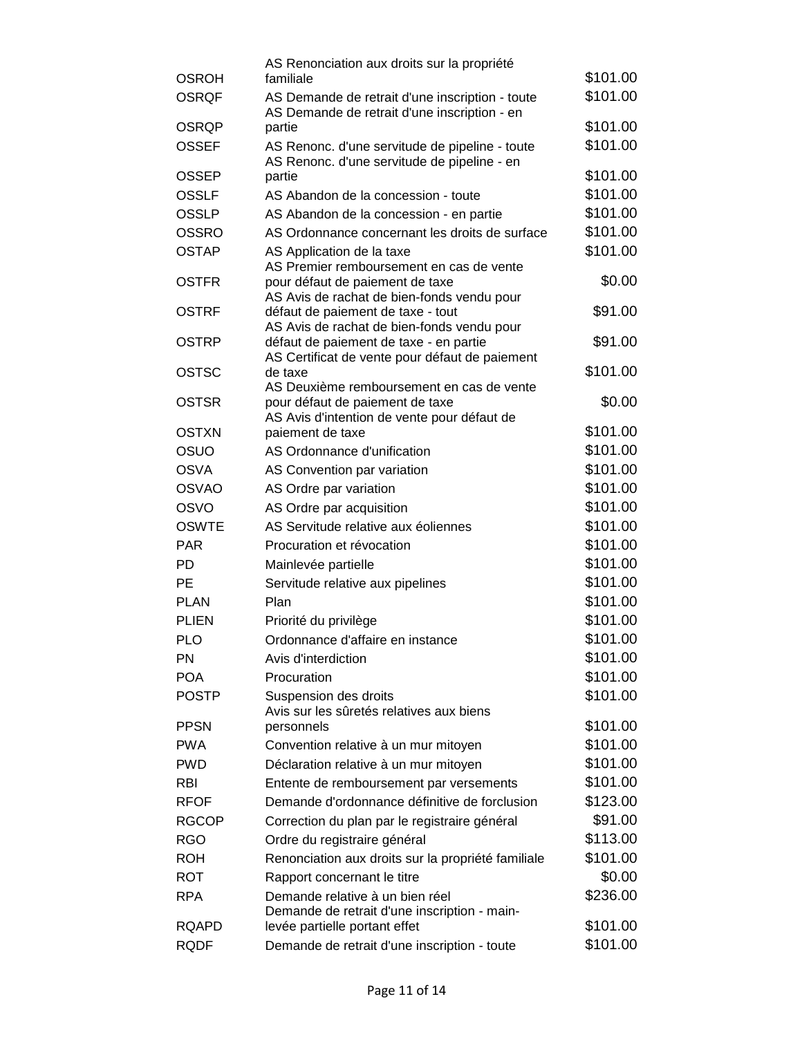|              | AS Renonciation aux droits sur la propriété                                                     |          |
|--------------|-------------------------------------------------------------------------------------------------|----------|
| <b>OSROH</b> | familiale                                                                                       | \$101.00 |
| <b>OSRQF</b> | AS Demande de retrait d'une inscription - toute<br>AS Demande de retrait d'une inscription - en | \$101.00 |
| <b>OSRQP</b> | partie                                                                                          | \$101.00 |
| <b>OSSEF</b> | AS Renonc. d'une servitude de pipeline - toute<br>AS Renonc. d'une servitude de pipeline - en   | \$101.00 |
| <b>OSSEP</b> | partie                                                                                          | \$101.00 |
| <b>OSSLF</b> | AS Abandon de la concession - toute                                                             | \$101.00 |
| <b>OSSLP</b> | AS Abandon de la concession - en partie                                                         | \$101.00 |
| <b>OSSRO</b> | AS Ordonnance concernant les droits de surface                                                  | \$101.00 |
| <b>OSTAP</b> | AS Application de la taxe                                                                       | \$101.00 |
| <b>OSTFR</b> | AS Premier remboursement en cas de vente<br>pour défaut de paiement de taxe                     | \$0.00   |
| <b>OSTRF</b> | AS Avis de rachat de bien-fonds vendu pour<br>défaut de paiement de taxe - tout                 | \$91.00  |
|              | AS Avis de rachat de bien-fonds vendu pour                                                      |          |
| <b>OSTRP</b> | défaut de paiement de taxe - en partie<br>AS Certificat de vente pour défaut de paiement        | \$91.00  |
| <b>OSTSC</b> | de taxe                                                                                         | \$101.00 |
| <b>OSTSR</b> | AS Deuxième remboursement en cas de vente<br>pour défaut de paiement de taxe                    | \$0.00   |
|              | AS Avis d'intention de vente pour défaut de                                                     |          |
| <b>OSTXN</b> | paiement de taxe                                                                                | \$101.00 |
| OSUO         | AS Ordonnance d'unification                                                                     | \$101.00 |
| <b>OSVA</b>  | AS Convention par variation                                                                     | \$101.00 |
| <b>OSVAO</b> | AS Ordre par variation                                                                          | \$101.00 |
| <b>OSVO</b>  | AS Ordre par acquisition                                                                        | \$101.00 |
| <b>OSWTE</b> | AS Servitude relative aux éoliennes                                                             | \$101.00 |
| <b>PAR</b>   | Procuration et révocation                                                                       | \$101.00 |
| <b>PD</b>    | Mainlevée partielle                                                                             | \$101.00 |
| <b>PE</b>    | Servitude relative aux pipelines                                                                | \$101.00 |
| <b>PLAN</b>  | Plan                                                                                            | \$101.00 |
| <b>PLIEN</b> | Priorité du privilège                                                                           | \$101.00 |
| <b>PLO</b>   | Ordonnance d'affaire en instance                                                                | \$101.00 |
| <b>PN</b>    | Avis d'interdiction                                                                             | \$101.00 |
| <b>POA</b>   | Procuration                                                                                     | \$101.00 |
| <b>POSTP</b> | Suspension des droits                                                                           | \$101.00 |
| <b>PPSN</b>  | Avis sur les sûretés relatives aux biens<br>personnels                                          | \$101.00 |
| <b>PWA</b>   | Convention relative à un mur mitoyen                                                            | \$101.00 |
| <b>PWD</b>   | Déclaration relative à un mur mitoyen                                                           | \$101.00 |
| <b>RBI</b>   | Entente de remboursement par versements                                                         | \$101.00 |
| <b>RFOF</b>  | Demande d'ordonnance définitive de forclusion                                                   | \$123.00 |
| <b>RGCOP</b> | Correction du plan par le registraire général                                                   | \$91.00  |
| <b>RGO</b>   | Ordre du registraire général                                                                    | \$113.00 |
| <b>ROH</b>   | Renonciation aux droits sur la propriété familiale                                              | \$101.00 |
| <b>ROT</b>   | Rapport concernant le titre                                                                     | \$0.00   |
| <b>RPA</b>   | Demande relative à un bien réel                                                                 | \$236.00 |
|              | Demande de retrait d'une inscription - main-                                                    |          |
| <b>RQAPD</b> | levée partielle portant effet                                                                   | \$101.00 |
| <b>RQDF</b>  | Demande de retrait d'une inscription - toute                                                    | \$101.00 |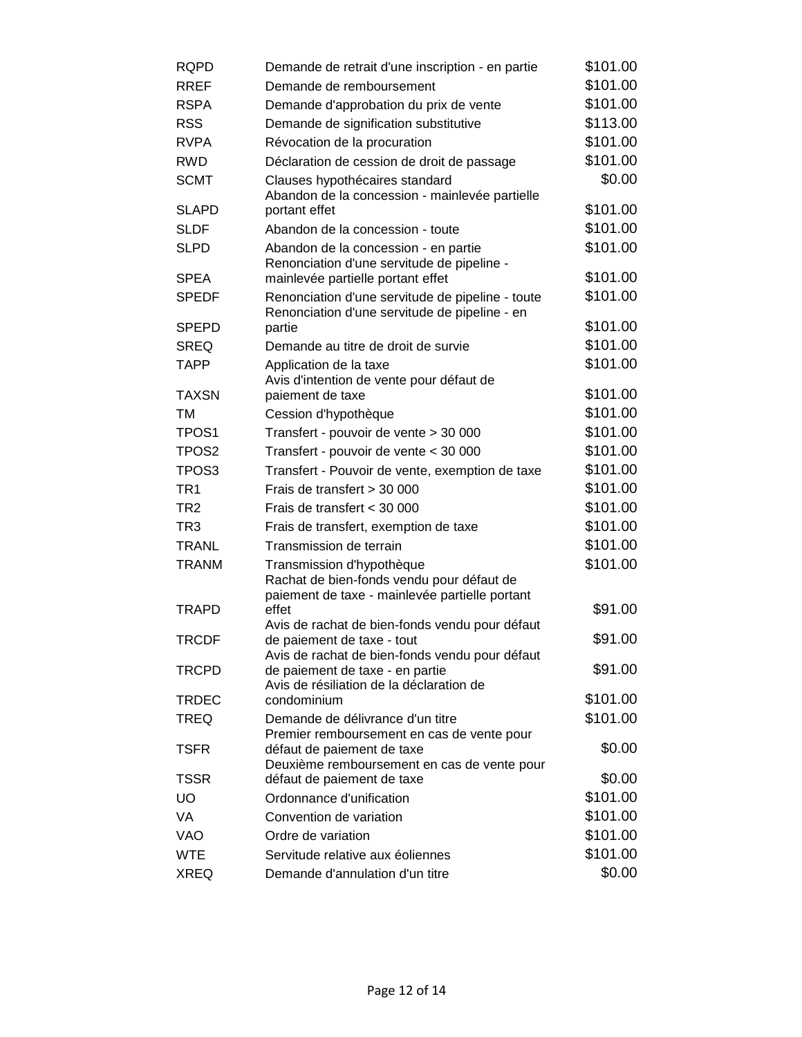| <b>RQPD</b>       | Demande de retrait d'une inscription - en partie                                         | \$101.00 |
|-------------------|------------------------------------------------------------------------------------------|----------|
| <b>RREF</b>       | Demande de remboursement                                                                 | \$101.00 |
| <b>RSPA</b>       | Demande d'approbation du prix de vente                                                   | \$101.00 |
| <b>RSS</b>        | Demande de signification substitutive                                                    | \$113.00 |
| <b>RVPA</b>       | Révocation de la procuration                                                             | \$101.00 |
| <b>RWD</b>        | Déclaration de cession de droit de passage                                               | \$101.00 |
| <b>SCMT</b>       | Clauses hypothécaires standard                                                           | \$0.00   |
|                   | Abandon de la concession - mainlevée partielle                                           |          |
| <b>SLAPD</b>      | portant effet                                                                            | \$101.00 |
| <b>SLDF</b>       | Abandon de la concession - toute                                                         | \$101.00 |
| <b>SLPD</b>       | Abandon de la concession - en partie<br>Renonciation d'une servitude de pipeline -       | \$101.00 |
| <b>SPEA</b>       | mainlevée partielle portant effet                                                        | \$101.00 |
| <b>SPEDF</b>      | Renonciation d'une servitude de pipeline - toute                                         | \$101.00 |
|                   | Renonciation d'une servitude de pipeline - en                                            |          |
| <b>SPEPD</b>      | partie                                                                                   | \$101.00 |
| <b>SREQ</b>       | Demande au titre de droit de survie                                                      | \$101.00 |
| TAPP              | Application de la taxe                                                                   | \$101.00 |
| <b>TAXSN</b>      | Avis d'intention de vente pour défaut de<br>paiement de taxe                             | \$101.00 |
| ТM                | Cession d'hypothèque                                                                     | \$101.00 |
| TPOS <sub>1</sub> | Transfert - pouvoir de vente > 30 000                                                    | \$101.00 |
| TPOS <sub>2</sub> |                                                                                          | \$101.00 |
| TPOS <sub>3</sub> | Transfert - pouvoir de vente < 30 000<br>Transfert - Pouvoir de vente, exemption de taxe | \$101.00 |
| TR <sub>1</sub>   | Frais de transfert > 30 000                                                              | \$101.00 |
| TR <sub>2</sub>   | Frais de transfert < 30 000                                                              | \$101.00 |
| TR3               |                                                                                          | \$101.00 |
| <b>TRANL</b>      | Frais de transfert, exemption de taxe<br>Transmission de terrain                         | \$101.00 |
|                   |                                                                                          | \$101.00 |
| <b>TRANM</b>      | Transmission d'hypothèque<br>Rachat de bien-fonds vendu pour défaut de                   |          |
|                   | paiement de taxe - mainlevée partielle portant                                           |          |
| <b>TRAPD</b>      | effet                                                                                    | \$91.00  |
|                   | Avis de rachat de bien-fonds vendu pour défaut                                           |          |
| <b>TRCDF</b>      | de paiement de taxe - tout<br>Avis de rachat de bien-fonds vendu pour défaut             | \$91.00  |
| <b>TRCPD</b>      | de paiement de taxe - en partie                                                          | \$91.00  |
|                   | Avis de résiliation de la déclaration de                                                 |          |
| <b>TRDEC</b>      | condominium                                                                              | \$101.00 |
| <b>TREQ</b>       | Demande de délivrance d'un titre                                                         | \$101.00 |
| <b>TSFR</b>       | Premier remboursement en cas de vente pour<br>défaut de paiement de taxe                 | \$0.00   |
|                   | Deuxième remboursement en cas de vente pour                                              |          |
| <b>TSSR</b>       | défaut de paiement de taxe                                                               | \$0.00   |
| <b>UO</b>         | Ordonnance d'unification                                                                 | \$101.00 |
| VA                | Convention de variation                                                                  | \$101.00 |
| <b>VAO</b>        | Ordre de variation                                                                       | \$101.00 |
| <b>WTE</b>        | Servitude relative aux éoliennes                                                         | \$101.00 |
| <b>XREQ</b>       | Demande d'annulation d'un titre                                                          | \$0.00   |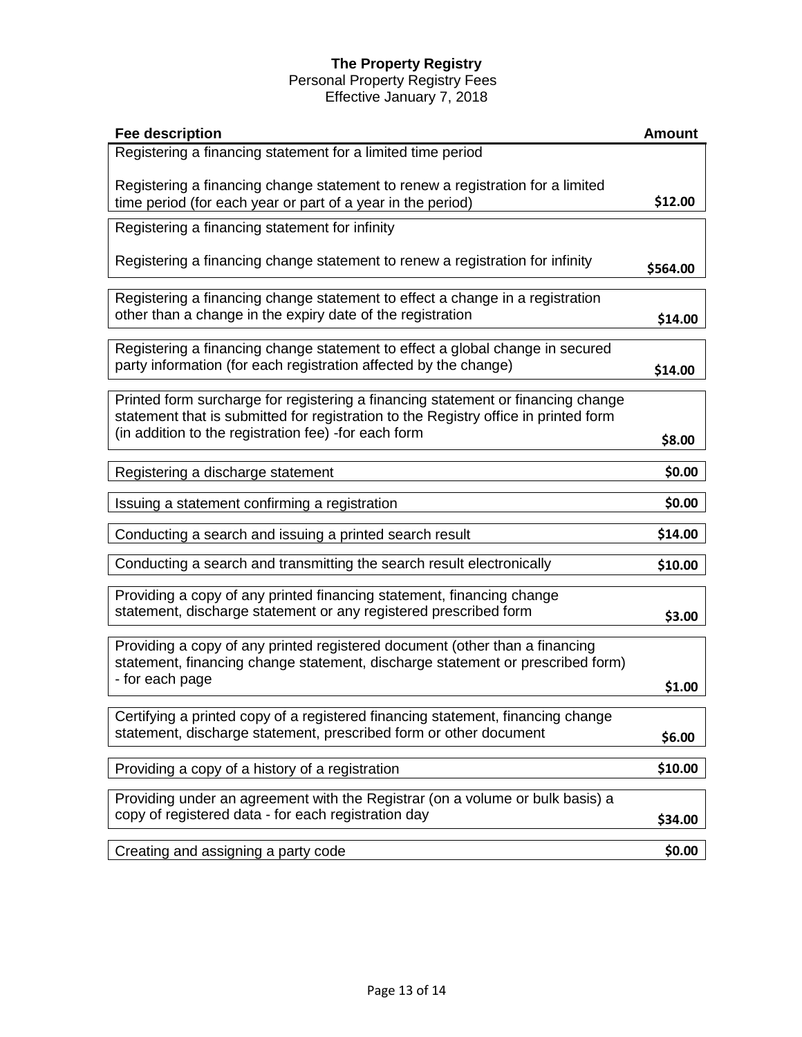# **The Property Registry**

# Personal Property Registry Fees

Effective January 7, 2018

| <b>Fee description</b>                                                                                                                                                                                                          | <b>Amount</b> |
|---------------------------------------------------------------------------------------------------------------------------------------------------------------------------------------------------------------------------------|---------------|
| Registering a financing statement for a limited time period                                                                                                                                                                     |               |
| Registering a financing change statement to renew a registration for a limited<br>time period (for each year or part of a year in the period)                                                                                   | \$12.00       |
| Registering a financing statement for infinity                                                                                                                                                                                  |               |
| Registering a financing change statement to renew a registration for infinity                                                                                                                                                   | \$564.00      |
| Registering a financing change statement to effect a change in a registration<br>other than a change in the expiry date of the registration                                                                                     | \$14.00       |
| Registering a financing change statement to effect a global change in secured<br>party information (for each registration affected by the change)                                                                               | \$14.00       |
| Printed form surcharge for registering a financing statement or financing change<br>statement that is submitted for registration to the Registry office in printed form<br>(in addition to the registration fee) -for each form | \$8.00        |
| Registering a discharge statement                                                                                                                                                                                               | \$0.00        |
| Issuing a statement confirming a registration                                                                                                                                                                                   | \$0.00        |
| Conducting a search and issuing a printed search result                                                                                                                                                                         | \$14.00       |
| Conducting a search and transmitting the search result electronically                                                                                                                                                           | \$10.00       |
| Providing a copy of any printed financing statement, financing change<br>statement, discharge statement or any registered prescribed form                                                                                       | \$3.00        |
| Providing a copy of any printed registered document (other than a financing<br>statement, financing change statement, discharge statement or prescribed form)<br>- for each page                                                |               |
|                                                                                                                                                                                                                                 | \$1.00        |
| Certifying a printed copy of a registered financing statement, financing change<br>statement, discharge statement, prescribed form or other document                                                                            | \$6.00        |
| Providing a copy of a history of a registration                                                                                                                                                                                 | \$10.00       |
| Providing under an agreement with the Registrar (on a volume or bulk basis) a<br>copy of registered data - for each registration day                                                                                            | \$34.00       |
| Creating and assigning a party code                                                                                                                                                                                             | \$0.00        |